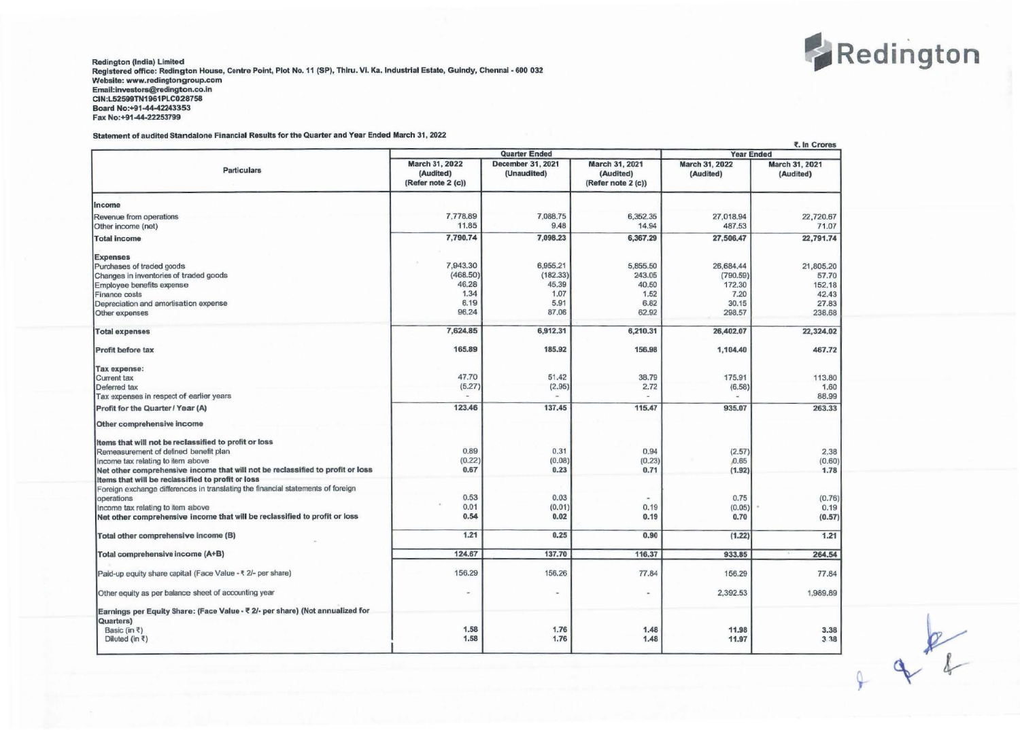

Redington (India) Limited Registered office: Redington House, Centre Point, Plot No. 11 (SP), Thlru. VI. Ka. Industrial Estate, Gulndy, Chennal • 600 032 Website: www.redingtongroup.com Emall:lnvestors@redlngton.co.in CIN:L52599TN1961PLC028758 Board No:+91-44-42243353 Fax No:+91-44-22253799

## Statement of audited Standalone Financial Results for the Quarter and Year Ended March 31, 2022

|                                                                                 | <b>Quarter Ended</b>                              |                                  |                                                   | <b>Year Ended</b>           |                             |
|---------------------------------------------------------------------------------|---------------------------------------------------|----------------------------------|---------------------------------------------------|-----------------------------|-----------------------------|
| <b>Particulars</b>                                                              | March 31, 2022<br>(Audited)<br>(Refer note 2 (c)) | December 31, 2021<br>(Unaudited) | March 31, 2021<br>(Audited)<br>(Refer note 2 (c)) | March 31, 2022<br>(Audited) | March 31, 2021<br>(Audited) |
| Income                                                                          |                                                   |                                  |                                                   |                             |                             |
| Revenue from operations<br>Other income (net)                                   | 7,778.89<br>11.85                                 | 7,088.75<br>9.48                 | 6,352.35<br>14.94                                 | 27,018.94<br>487.53         | 22,720.67<br>71.07          |
| <b>Total income</b>                                                             | 7,790.74                                          | 7.098.23                         | 6,367.29                                          | 27.506.47                   | 22,791.74                   |
| <b>Expenses</b>                                                                 |                                                   |                                  |                                                   |                             |                             |
| Purchases of traded goods                                                       | 7,943.30                                          | 6,955.21                         | 5.855.50                                          | 26,684.44                   | 21,805.20                   |
| Changes in inventories of traded goods                                          | (468.50)                                          | (182.33)                         | 243.05                                            | (790.59)                    | 57.70                       |
| Employee benefits expense                                                       | 46.28                                             | 45.39                            | 40.50                                             | 172.30                      | 152.18                      |
| Finance costs                                                                   | 1.34                                              | 1.07                             | 1.52                                              | 7.20                        | 42.43                       |
| Depreciation and amortisation expense                                           | 6.19                                              | 5.91                             | 6.82                                              | 30.15                       | 27.83                       |
| Other expenses                                                                  | 96.24                                             | 87.06                            | 62.92                                             | 298.57                      | 238.68                      |
| <b>Total expenses</b>                                                           | 7,624.85                                          | 6,912.31                         | 6,210.31                                          | 26,402.07                   | 22,324.02                   |
| Profit before tax                                                               | 165.89                                            | 185.92                           | 156.98                                            | 1,104.40                    | 467.72                      |
| Tax expense:                                                                    |                                                   |                                  |                                                   |                             |                             |
| Current tax                                                                     | 47.70                                             | 51.42                            | 38.79                                             | 175.91                      | 113.80                      |
| Deferred tax                                                                    | (5.27)                                            | (2.95)                           | 2.72                                              | (6.58)                      | 1.60                        |
| Tax expenses in respect of earlier years                                        |                                                   |                                  |                                                   |                             | 88.99                       |
| Profit for the Quarter / Year (A)                                               | 123.46                                            | 137.45                           | 115.47                                            | 935.07                      | 263.33                      |
| Other comprehensive income                                                      |                                                   |                                  |                                                   |                             |                             |
| Items that will not be reclassified to profit or loss                           |                                                   |                                  |                                                   |                             |                             |
| Remeasurement of defined benefit plan                                           | 0.89                                              | 0.31                             | 0.94                                              | (2.57)                      | 2.38                        |
| Income tax relating to item above                                               | (0.22)                                            | (0.08)                           | (0.23)                                            | 0.65                        | (0.60)                      |
| Net other comprehensive income that will not be reclassified to profit or loss  | 0.67                                              | 0.23                             | 0.71                                              | (1.92)                      | 1.78                        |
| Items that will be reclassified to profit or loss                               |                                                   |                                  |                                                   |                             |                             |
|                                                                                 |                                                   |                                  |                                                   |                             |                             |
| Foreign exchange differences in translating the financial statements of foreign | 0.53                                              | 0.03                             |                                                   |                             |                             |
| operations                                                                      |                                                   |                                  |                                                   | 0.75                        | (0.76)                      |
| Income tax relating to item above                                               | 0.01                                              | (0.01)                           | 0.19                                              | (0.05)                      | 0.19                        |
| Net other comprehensive income that will be reclassified to profit or loss      | 0.54                                              | 0.02                             | 0.19                                              | 0.70                        | (0.57)                      |
| Total other comprehensive income (B)                                            | 1.21                                              | 0.25                             | 0.90                                              | (1.22)                      | 1.21                        |
| Total comprehensive income (A+B)                                                | 124.67                                            | 137.70                           | 116.37                                            | 933.85                      | 264.54                      |
| Paid-up equity share capital (Face Value - ₹ 2/- per share)                     | 156.29                                            | 156.26                           | 77.84                                             | 156.29                      | 77.84                       |
| Other equity as per balance sheet of accounting year                            |                                                   | $\overline{a}$                   | $\frac{1}{2}$                                     | 2,392.53                    | 1,989.89                    |
| Earnings per Equity Share: (Face Value - ₹ 2/- per share) (Not annualized for   |                                                   |                                  |                                                   |                             |                             |
| Quarters)                                                                       |                                                   |                                  |                                                   |                             |                             |
| Basic (in ₹)                                                                    | 1.58                                              | 1.76                             | 1.48                                              | 11.98                       | 3.38                        |
| Diluted (in ₹)                                                                  | 1.58                                              | 1.76                             | 1.48                                              | 11.97                       | 3 3 8                       |
|                                                                                 |                                                   |                                  |                                                   |                             |                             |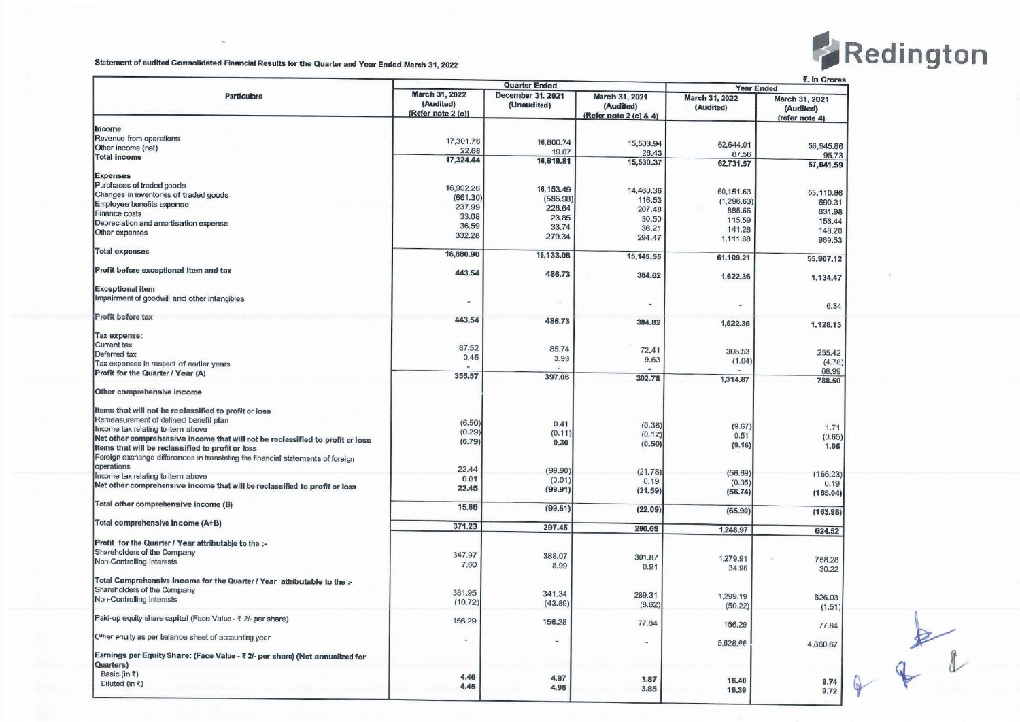

| March 31, 2022<br>December 31, 2021<br><b>Particulars</b><br>March 31, 2021<br>March 31, 2022<br>March 31, 2021<br>(Audited)<br>(Unaudited)<br>(Audited)<br>(Audited)<br>(Audited)<br>(Refer note 2 (c))<br>(Refer note 2 (c) & 4)<br>(refer note 4)<br>Revenue from operations<br>17,301.76<br>16,600.74<br>15,503.94<br>62,644.01<br>Other income (net)<br>22.68<br>19.07<br>26.43<br>87.56<br>17,324.44<br>16,619.81<br>15,530.37<br>62,731.57<br>57,041.59<br>Purchases of traded goods<br>16,902.26<br>16, 153.49<br>14,460.36<br>60,151.63<br>53,110.66<br>Changes in inventories of traded goods<br>(661.30)<br>(585.98)<br>116.53<br>(1, 296.63)<br>690.31<br>237.99<br>228.64<br>207.48<br>885.66<br>831.98<br>33.08<br>23.85<br>30.50<br>115.59<br>156.44<br>Depreciation and amortisation expense<br>36.59<br>33.74<br>36.21<br>141.28<br>148.20<br>332.28<br>279.34<br>294.47<br>1,111.68<br>969.53<br><b>Total expenses</b><br>16,880.90<br>16,133.08<br>15, 145.55<br>61,109.21<br>443.54<br>486.73<br>384.82<br>1,622.36<br>1,134.47<br>Impairment of goodwill and other intangibles<br>$\blacksquare$<br>w.<br>6.34<br>443.54<br>486.73<br>384.82<br>1,622.36<br>1,128.13<br>Tax expense:<br>Current tax<br>87.52<br>85.74<br>72.41<br>308.53<br>255.42<br>Deferred tax<br>0.45<br>3.93<br>9.63<br>(1.04)<br>(4.78)<br>Tax expenses in respect of earlier years<br>88.99<br>Profit for the Quarter / Year (A)<br>355,57<br>397.06<br>302.78<br>1,314.87<br>788.50<br>(6.50)<br>0.41<br>(0.38)<br>(9.67)<br>1.71<br>(0.29)<br>(0.11)<br>(0.12)<br>0.51<br>(0.65)<br>Net other comprehensive income that will not be reclassified to profit or loss<br>(6.79)<br>0.30<br>(0.50)<br>(9.16)<br>1.06<br>Items that will be reclassified to profit or loss<br>Foreign exchange differences in translating the financial statements of foreign<br>operations<br>22.44<br>(99.90)<br>(21.78)<br>(56.69)<br>(165.23)<br>Income tax relating to item above<br>0.01<br>(0.01)<br>0.19<br>(0.05)<br>0.19<br>Net other comprehensive income that will be reclassified to profit or loss<br>22.45<br>(99.91)<br>(21.59)<br>(56.74)<br>(165.04)<br>Total other comprehensive income (B)<br>15.66<br>(99.61)<br>(22.09)<br>(65.90)<br>(163.98)<br>Total comprehensive income (A+B)<br>371.23<br>297.45<br>280.69<br>1,248.97<br>624.52<br>Profit for the Quarter / Year attributable to the :-<br>Shareholders of the Company<br>347.97<br>388.07<br>301.87<br>1,279.91<br>758.28<br>Non-Controlling Interests<br>7.60<br>8.99<br>0.91<br>34.96<br>30.22<br>Total Comprehensive Income for the Quarter / Year attributable to the :-<br>Shareholders of the Company<br>381.95<br>341.34<br>289.31<br>1,299.19<br>626.03<br>Non-Controlling Interests<br>(10.72)<br>(43.89)<br>(8.62)<br>(50.22)<br>(1.51)<br>156.29<br>156.28<br>77.84<br>156.29<br>77.84<br>5,628.66<br>4,860.67<br>Earnings per Equity Share: (Face Value - ₹ 2/- per share) (Not annualized for<br>Quarters)<br>Basic (in $\bar{z}$ )<br>4.46<br>4.97<br>3.87<br>16.40<br>9.74<br>Diluted (in ₹)<br>4.45<br>4.96<br>3.85<br>16.39<br>9.72 |                                                             | <b>Quarter Ended</b> |  |  | ₹. In Crores<br><b>Year Ended</b> |           |  |
|--------------------------------------------------------------------------------------------------------------------------------------------------------------------------------------------------------------------------------------------------------------------------------------------------------------------------------------------------------------------------------------------------------------------------------------------------------------------------------------------------------------------------------------------------------------------------------------------------------------------------------------------------------------------------------------------------------------------------------------------------------------------------------------------------------------------------------------------------------------------------------------------------------------------------------------------------------------------------------------------------------------------------------------------------------------------------------------------------------------------------------------------------------------------------------------------------------------------------------------------------------------------------------------------------------------------------------------------------------------------------------------------------------------------------------------------------------------------------------------------------------------------------------------------------------------------------------------------------------------------------------------------------------------------------------------------------------------------------------------------------------------------------------------------------------------------------------------------------------------------------------------------------------------------------------------------------------------------------------------------------------------------------------------------------------------------------------------------------------------------------------------------------------------------------------------------------------------------------------------------------------------------------------------------------------------------------------------------------------------------------------------------------------------------------------------------------------------------------------------------------------------------------------------------------------------------------------------------------------------------------------------------------------------------------------------------------------------------------------------------------------------------------------------------------------------------------------------------------------------------------------------------------------------------------------------------------------------------------------------------------------------------------------------------------------------------------------------------------------------|-------------------------------------------------------------|----------------------|--|--|-----------------------------------|-----------|--|
|                                                                                                                                                                                                                                                                                                                                                                                                                                                                                                                                                                                                                                                                                                                                                                                                                                                                                                                                                                                                                                                                                                                                                                                                                                                                                                                                                                                                                                                                                                                                                                                                                                                                                                                                                                                                                                                                                                                                                                                                                                                                                                                                                                                                                                                                                                                                                                                                                                                                                                                                                                                                                                                                                                                                                                                                                                                                                                                                                                                                                                                                                                              |                                                             |                      |  |  |                                   |           |  |
|                                                                                                                                                                                                                                                                                                                                                                                                                                                                                                                                                                                                                                                                                                                                                                                                                                                                                                                                                                                                                                                                                                                                                                                                                                                                                                                                                                                                                                                                                                                                                                                                                                                                                                                                                                                                                                                                                                                                                                                                                                                                                                                                                                                                                                                                                                                                                                                                                                                                                                                                                                                                                                                                                                                                                                                                                                                                                                                                                                                                                                                                                                              | Income                                                      |                      |  |  |                                   |           |  |
|                                                                                                                                                                                                                                                                                                                                                                                                                                                                                                                                                                                                                                                                                                                                                                                                                                                                                                                                                                                                                                                                                                                                                                                                                                                                                                                                                                                                                                                                                                                                                                                                                                                                                                                                                                                                                                                                                                                                                                                                                                                                                                                                                                                                                                                                                                                                                                                                                                                                                                                                                                                                                                                                                                                                                                                                                                                                                                                                                                                                                                                                                                              |                                                             |                      |  |  |                                   |           |  |
|                                                                                                                                                                                                                                                                                                                                                                                                                                                                                                                                                                                                                                                                                                                                                                                                                                                                                                                                                                                                                                                                                                                                                                                                                                                                                                                                                                                                                                                                                                                                                                                                                                                                                                                                                                                                                                                                                                                                                                                                                                                                                                                                                                                                                                                                                                                                                                                                                                                                                                                                                                                                                                                                                                                                                                                                                                                                                                                                                                                                                                                                                                              |                                                             |                      |  |  |                                   | 56,945.86 |  |
|                                                                                                                                                                                                                                                                                                                                                                                                                                                                                                                                                                                                                                                                                                                                                                                                                                                                                                                                                                                                                                                                                                                                                                                                                                                                                                                                                                                                                                                                                                                                                                                                                                                                                                                                                                                                                                                                                                                                                                                                                                                                                                                                                                                                                                                                                                                                                                                                                                                                                                                                                                                                                                                                                                                                                                                                                                                                                                                                                                                                                                                                                                              | <b>Total income</b>                                         |                      |  |  |                                   | 95,73     |  |
|                                                                                                                                                                                                                                                                                                                                                                                                                                                                                                                                                                                                                                                                                                                                                                                                                                                                                                                                                                                                                                                                                                                                                                                                                                                                                                                                                                                                                                                                                                                                                                                                                                                                                                                                                                                                                                                                                                                                                                                                                                                                                                                                                                                                                                                                                                                                                                                                                                                                                                                                                                                                                                                                                                                                                                                                                                                                                                                                                                                                                                                                                                              |                                                             |                      |  |  |                                   |           |  |
|                                                                                                                                                                                                                                                                                                                                                                                                                                                                                                                                                                                                                                                                                                                                                                                                                                                                                                                                                                                                                                                                                                                                                                                                                                                                                                                                                                                                                                                                                                                                                                                                                                                                                                                                                                                                                                                                                                                                                                                                                                                                                                                                                                                                                                                                                                                                                                                                                                                                                                                                                                                                                                                                                                                                                                                                                                                                                                                                                                                                                                                                                                              | <b>Expenses</b>                                             |                      |  |  |                                   |           |  |
|                                                                                                                                                                                                                                                                                                                                                                                                                                                                                                                                                                                                                                                                                                                                                                                                                                                                                                                                                                                                                                                                                                                                                                                                                                                                                                                                                                                                                                                                                                                                                                                                                                                                                                                                                                                                                                                                                                                                                                                                                                                                                                                                                                                                                                                                                                                                                                                                                                                                                                                                                                                                                                                                                                                                                                                                                                                                                                                                                                                                                                                                                                              |                                                             |                      |  |  |                                   |           |  |
|                                                                                                                                                                                                                                                                                                                                                                                                                                                                                                                                                                                                                                                                                                                                                                                                                                                                                                                                                                                                                                                                                                                                                                                                                                                                                                                                                                                                                                                                                                                                                                                                                                                                                                                                                                                                                                                                                                                                                                                                                                                                                                                                                                                                                                                                                                                                                                                                                                                                                                                                                                                                                                                                                                                                                                                                                                                                                                                                                                                                                                                                                                              |                                                             |                      |  |  |                                   |           |  |
|                                                                                                                                                                                                                                                                                                                                                                                                                                                                                                                                                                                                                                                                                                                                                                                                                                                                                                                                                                                                                                                                                                                                                                                                                                                                                                                                                                                                                                                                                                                                                                                                                                                                                                                                                                                                                                                                                                                                                                                                                                                                                                                                                                                                                                                                                                                                                                                                                                                                                                                                                                                                                                                                                                                                                                                                                                                                                                                                                                                                                                                                                                              | Employee benefits expense                                   |                      |  |  |                                   |           |  |
|                                                                                                                                                                                                                                                                                                                                                                                                                                                                                                                                                                                                                                                                                                                                                                                                                                                                                                                                                                                                                                                                                                                                                                                                                                                                                                                                                                                                                                                                                                                                                                                                                                                                                                                                                                                                                                                                                                                                                                                                                                                                                                                                                                                                                                                                                                                                                                                                                                                                                                                                                                                                                                                                                                                                                                                                                                                                                                                                                                                                                                                                                                              | Finance costs                                               |                      |  |  |                                   |           |  |
|                                                                                                                                                                                                                                                                                                                                                                                                                                                                                                                                                                                                                                                                                                                                                                                                                                                                                                                                                                                                                                                                                                                                                                                                                                                                                                                                                                                                                                                                                                                                                                                                                                                                                                                                                                                                                                                                                                                                                                                                                                                                                                                                                                                                                                                                                                                                                                                                                                                                                                                                                                                                                                                                                                                                                                                                                                                                                                                                                                                                                                                                                                              |                                                             |                      |  |  |                                   |           |  |
|                                                                                                                                                                                                                                                                                                                                                                                                                                                                                                                                                                                                                                                                                                                                                                                                                                                                                                                                                                                                                                                                                                                                                                                                                                                                                                                                                                                                                                                                                                                                                                                                                                                                                                                                                                                                                                                                                                                                                                                                                                                                                                                                                                                                                                                                                                                                                                                                                                                                                                                                                                                                                                                                                                                                                                                                                                                                                                                                                                                                                                                                                                              | Other expenses                                              |                      |  |  |                                   |           |  |
|                                                                                                                                                                                                                                                                                                                                                                                                                                                                                                                                                                                                                                                                                                                                                                                                                                                                                                                                                                                                                                                                                                                                                                                                                                                                                                                                                                                                                                                                                                                                                                                                                                                                                                                                                                                                                                                                                                                                                                                                                                                                                                                                                                                                                                                                                                                                                                                                                                                                                                                                                                                                                                                                                                                                                                                                                                                                                                                                                                                                                                                                                                              |                                                             |                      |  |  |                                   |           |  |
|                                                                                                                                                                                                                                                                                                                                                                                                                                                                                                                                                                                                                                                                                                                                                                                                                                                                                                                                                                                                                                                                                                                                                                                                                                                                                                                                                                                                                                                                                                                                                                                                                                                                                                                                                                                                                                                                                                                                                                                                                                                                                                                                                                                                                                                                                                                                                                                                                                                                                                                                                                                                                                                                                                                                                                                                                                                                                                                                                                                                                                                                                                              |                                                             |                      |  |  |                                   | 55,907.12 |  |
|                                                                                                                                                                                                                                                                                                                                                                                                                                                                                                                                                                                                                                                                                                                                                                                                                                                                                                                                                                                                                                                                                                                                                                                                                                                                                                                                                                                                                                                                                                                                                                                                                                                                                                                                                                                                                                                                                                                                                                                                                                                                                                                                                                                                                                                                                                                                                                                                                                                                                                                                                                                                                                                                                                                                                                                                                                                                                                                                                                                                                                                                                                              | Profit before exceptional item and tax                      |                      |  |  |                                   |           |  |
|                                                                                                                                                                                                                                                                                                                                                                                                                                                                                                                                                                                                                                                                                                                                                                                                                                                                                                                                                                                                                                                                                                                                                                                                                                                                                                                                                                                                                                                                                                                                                                                                                                                                                                                                                                                                                                                                                                                                                                                                                                                                                                                                                                                                                                                                                                                                                                                                                                                                                                                                                                                                                                                                                                                                                                                                                                                                                                                                                                                                                                                                                                              | <b>Exceptional item</b>                                     |                      |  |  |                                   |           |  |
|                                                                                                                                                                                                                                                                                                                                                                                                                                                                                                                                                                                                                                                                                                                                                                                                                                                                                                                                                                                                                                                                                                                                                                                                                                                                                                                                                                                                                                                                                                                                                                                                                                                                                                                                                                                                                                                                                                                                                                                                                                                                                                                                                                                                                                                                                                                                                                                                                                                                                                                                                                                                                                                                                                                                                                                                                                                                                                                                                                                                                                                                                                              |                                                             |                      |  |  |                                   |           |  |
|                                                                                                                                                                                                                                                                                                                                                                                                                                                                                                                                                                                                                                                                                                                                                                                                                                                                                                                                                                                                                                                                                                                                                                                                                                                                                                                                                                                                                                                                                                                                                                                                                                                                                                                                                                                                                                                                                                                                                                                                                                                                                                                                                                                                                                                                                                                                                                                                                                                                                                                                                                                                                                                                                                                                                                                                                                                                                                                                                                                                                                                                                                              | Profit before tax                                           |                      |  |  |                                   |           |  |
|                                                                                                                                                                                                                                                                                                                                                                                                                                                                                                                                                                                                                                                                                                                                                                                                                                                                                                                                                                                                                                                                                                                                                                                                                                                                                                                                                                                                                                                                                                                                                                                                                                                                                                                                                                                                                                                                                                                                                                                                                                                                                                                                                                                                                                                                                                                                                                                                                                                                                                                                                                                                                                                                                                                                                                                                                                                                                                                                                                                                                                                                                                              |                                                             |                      |  |  |                                   |           |  |
|                                                                                                                                                                                                                                                                                                                                                                                                                                                                                                                                                                                                                                                                                                                                                                                                                                                                                                                                                                                                                                                                                                                                                                                                                                                                                                                                                                                                                                                                                                                                                                                                                                                                                                                                                                                                                                                                                                                                                                                                                                                                                                                                                                                                                                                                                                                                                                                                                                                                                                                                                                                                                                                                                                                                                                                                                                                                                                                                                                                                                                                                                                              |                                                             |                      |  |  |                                   |           |  |
|                                                                                                                                                                                                                                                                                                                                                                                                                                                                                                                                                                                                                                                                                                                                                                                                                                                                                                                                                                                                                                                                                                                                                                                                                                                                                                                                                                                                                                                                                                                                                                                                                                                                                                                                                                                                                                                                                                                                                                                                                                                                                                                                                                                                                                                                                                                                                                                                                                                                                                                                                                                                                                                                                                                                                                                                                                                                                                                                                                                                                                                                                                              |                                                             |                      |  |  |                                   |           |  |
|                                                                                                                                                                                                                                                                                                                                                                                                                                                                                                                                                                                                                                                                                                                                                                                                                                                                                                                                                                                                                                                                                                                                                                                                                                                                                                                                                                                                                                                                                                                                                                                                                                                                                                                                                                                                                                                                                                                                                                                                                                                                                                                                                                                                                                                                                                                                                                                                                                                                                                                                                                                                                                                                                                                                                                                                                                                                                                                                                                                                                                                                                                              |                                                             |                      |  |  |                                   |           |  |
|                                                                                                                                                                                                                                                                                                                                                                                                                                                                                                                                                                                                                                                                                                                                                                                                                                                                                                                                                                                                                                                                                                                                                                                                                                                                                                                                                                                                                                                                                                                                                                                                                                                                                                                                                                                                                                                                                                                                                                                                                                                                                                                                                                                                                                                                                                                                                                                                                                                                                                                                                                                                                                                                                                                                                                                                                                                                                                                                                                                                                                                                                                              |                                                             |                      |  |  |                                   |           |  |
|                                                                                                                                                                                                                                                                                                                                                                                                                                                                                                                                                                                                                                                                                                                                                                                                                                                                                                                                                                                                                                                                                                                                                                                                                                                                                                                                                                                                                                                                                                                                                                                                                                                                                                                                                                                                                                                                                                                                                                                                                                                                                                                                                                                                                                                                                                                                                                                                                                                                                                                                                                                                                                                                                                                                                                                                                                                                                                                                                                                                                                                                                                              |                                                             |                      |  |  |                                   |           |  |
|                                                                                                                                                                                                                                                                                                                                                                                                                                                                                                                                                                                                                                                                                                                                                                                                                                                                                                                                                                                                                                                                                                                                                                                                                                                                                                                                                                                                                                                                                                                                                                                                                                                                                                                                                                                                                                                                                                                                                                                                                                                                                                                                                                                                                                                                                                                                                                                                                                                                                                                                                                                                                                                                                                                                                                                                                                                                                                                                                                                                                                                                                                              | Other comprehensive income                                  |                      |  |  |                                   |           |  |
|                                                                                                                                                                                                                                                                                                                                                                                                                                                                                                                                                                                                                                                                                                                                                                                                                                                                                                                                                                                                                                                                                                                                                                                                                                                                                                                                                                                                                                                                                                                                                                                                                                                                                                                                                                                                                                                                                                                                                                                                                                                                                                                                                                                                                                                                                                                                                                                                                                                                                                                                                                                                                                                                                                                                                                                                                                                                                                                                                                                                                                                                                                              | Items that will not be reclassified to profit or loss       |                      |  |  |                                   |           |  |
|                                                                                                                                                                                                                                                                                                                                                                                                                                                                                                                                                                                                                                                                                                                                                                                                                                                                                                                                                                                                                                                                                                                                                                                                                                                                                                                                                                                                                                                                                                                                                                                                                                                                                                                                                                                                                                                                                                                                                                                                                                                                                                                                                                                                                                                                                                                                                                                                                                                                                                                                                                                                                                                                                                                                                                                                                                                                                                                                                                                                                                                                                                              | Remeasurement of defined benefit plan                       |                      |  |  |                                   |           |  |
|                                                                                                                                                                                                                                                                                                                                                                                                                                                                                                                                                                                                                                                                                                                                                                                                                                                                                                                                                                                                                                                                                                                                                                                                                                                                                                                                                                                                                                                                                                                                                                                                                                                                                                                                                                                                                                                                                                                                                                                                                                                                                                                                                                                                                                                                                                                                                                                                                                                                                                                                                                                                                                                                                                                                                                                                                                                                                                                                                                                                                                                                                                              | Income tax relating to item above                           |                      |  |  |                                   |           |  |
|                                                                                                                                                                                                                                                                                                                                                                                                                                                                                                                                                                                                                                                                                                                                                                                                                                                                                                                                                                                                                                                                                                                                                                                                                                                                                                                                                                                                                                                                                                                                                                                                                                                                                                                                                                                                                                                                                                                                                                                                                                                                                                                                                                                                                                                                                                                                                                                                                                                                                                                                                                                                                                                                                                                                                                                                                                                                                                                                                                                                                                                                                                              |                                                             |                      |  |  |                                   |           |  |
|                                                                                                                                                                                                                                                                                                                                                                                                                                                                                                                                                                                                                                                                                                                                                                                                                                                                                                                                                                                                                                                                                                                                                                                                                                                                                                                                                                                                                                                                                                                                                                                                                                                                                                                                                                                                                                                                                                                                                                                                                                                                                                                                                                                                                                                                                                                                                                                                                                                                                                                                                                                                                                                                                                                                                                                                                                                                                                                                                                                                                                                                                                              |                                                             |                      |  |  |                                   |           |  |
|                                                                                                                                                                                                                                                                                                                                                                                                                                                                                                                                                                                                                                                                                                                                                                                                                                                                                                                                                                                                                                                                                                                                                                                                                                                                                                                                                                                                                                                                                                                                                                                                                                                                                                                                                                                                                                                                                                                                                                                                                                                                                                                                                                                                                                                                                                                                                                                                                                                                                                                                                                                                                                                                                                                                                                                                                                                                                                                                                                                                                                                                                                              |                                                             |                      |  |  |                                   |           |  |
|                                                                                                                                                                                                                                                                                                                                                                                                                                                                                                                                                                                                                                                                                                                                                                                                                                                                                                                                                                                                                                                                                                                                                                                                                                                                                                                                                                                                                                                                                                                                                                                                                                                                                                                                                                                                                                                                                                                                                                                                                                                                                                                                                                                                                                                                                                                                                                                                                                                                                                                                                                                                                                                                                                                                                                                                                                                                                                                                                                                                                                                                                                              |                                                             |                      |  |  |                                   |           |  |
|                                                                                                                                                                                                                                                                                                                                                                                                                                                                                                                                                                                                                                                                                                                                                                                                                                                                                                                                                                                                                                                                                                                                                                                                                                                                                                                                                                                                                                                                                                                                                                                                                                                                                                                                                                                                                                                                                                                                                                                                                                                                                                                                                                                                                                                                                                                                                                                                                                                                                                                                                                                                                                                                                                                                                                                                                                                                                                                                                                                                                                                                                                              |                                                             |                      |  |  |                                   |           |  |
|                                                                                                                                                                                                                                                                                                                                                                                                                                                                                                                                                                                                                                                                                                                                                                                                                                                                                                                                                                                                                                                                                                                                                                                                                                                                                                                                                                                                                                                                                                                                                                                                                                                                                                                                                                                                                                                                                                                                                                                                                                                                                                                                                                                                                                                                                                                                                                                                                                                                                                                                                                                                                                                                                                                                                                                                                                                                                                                                                                                                                                                                                                              |                                                             |                      |  |  |                                   |           |  |
|                                                                                                                                                                                                                                                                                                                                                                                                                                                                                                                                                                                                                                                                                                                                                                                                                                                                                                                                                                                                                                                                                                                                                                                                                                                                                                                                                                                                                                                                                                                                                                                                                                                                                                                                                                                                                                                                                                                                                                                                                                                                                                                                                                                                                                                                                                                                                                                                                                                                                                                                                                                                                                                                                                                                                                                                                                                                                                                                                                                                                                                                                                              |                                                             |                      |  |  |                                   |           |  |
|                                                                                                                                                                                                                                                                                                                                                                                                                                                                                                                                                                                                                                                                                                                                                                                                                                                                                                                                                                                                                                                                                                                                                                                                                                                                                                                                                                                                                                                                                                                                                                                                                                                                                                                                                                                                                                                                                                                                                                                                                                                                                                                                                                                                                                                                                                                                                                                                                                                                                                                                                                                                                                                                                                                                                                                                                                                                                                                                                                                                                                                                                                              |                                                             |                      |  |  |                                   |           |  |
|                                                                                                                                                                                                                                                                                                                                                                                                                                                                                                                                                                                                                                                                                                                                                                                                                                                                                                                                                                                                                                                                                                                                                                                                                                                                                                                                                                                                                                                                                                                                                                                                                                                                                                                                                                                                                                                                                                                                                                                                                                                                                                                                                                                                                                                                                                                                                                                                                                                                                                                                                                                                                                                                                                                                                                                                                                                                                                                                                                                                                                                                                                              |                                                             |                      |  |  |                                   |           |  |
|                                                                                                                                                                                                                                                                                                                                                                                                                                                                                                                                                                                                                                                                                                                                                                                                                                                                                                                                                                                                                                                                                                                                                                                                                                                                                                                                                                                                                                                                                                                                                                                                                                                                                                                                                                                                                                                                                                                                                                                                                                                                                                                                                                                                                                                                                                                                                                                                                                                                                                                                                                                                                                                                                                                                                                                                                                                                                                                                                                                                                                                                                                              |                                                             |                      |  |  |                                   |           |  |
|                                                                                                                                                                                                                                                                                                                                                                                                                                                                                                                                                                                                                                                                                                                                                                                                                                                                                                                                                                                                                                                                                                                                                                                                                                                                                                                                                                                                                                                                                                                                                                                                                                                                                                                                                                                                                                                                                                                                                                                                                                                                                                                                                                                                                                                                                                                                                                                                                                                                                                                                                                                                                                                                                                                                                                                                                                                                                                                                                                                                                                                                                                              |                                                             |                      |  |  |                                   |           |  |
|                                                                                                                                                                                                                                                                                                                                                                                                                                                                                                                                                                                                                                                                                                                                                                                                                                                                                                                                                                                                                                                                                                                                                                                                                                                                                                                                                                                                                                                                                                                                                                                                                                                                                                                                                                                                                                                                                                                                                                                                                                                                                                                                                                                                                                                                                                                                                                                                                                                                                                                                                                                                                                                                                                                                                                                                                                                                                                                                                                                                                                                                                                              |                                                             |                      |  |  |                                   |           |  |
|                                                                                                                                                                                                                                                                                                                                                                                                                                                                                                                                                                                                                                                                                                                                                                                                                                                                                                                                                                                                                                                                                                                                                                                                                                                                                                                                                                                                                                                                                                                                                                                                                                                                                                                                                                                                                                                                                                                                                                                                                                                                                                                                                                                                                                                                                                                                                                                                                                                                                                                                                                                                                                                                                                                                                                                                                                                                                                                                                                                                                                                                                                              |                                                             |                      |  |  |                                   |           |  |
|                                                                                                                                                                                                                                                                                                                                                                                                                                                                                                                                                                                                                                                                                                                                                                                                                                                                                                                                                                                                                                                                                                                                                                                                                                                                                                                                                                                                                                                                                                                                                                                                                                                                                                                                                                                                                                                                                                                                                                                                                                                                                                                                                                                                                                                                                                                                                                                                                                                                                                                                                                                                                                                                                                                                                                                                                                                                                                                                                                                                                                                                                                              |                                                             |                      |  |  |                                   |           |  |
|                                                                                                                                                                                                                                                                                                                                                                                                                                                                                                                                                                                                                                                                                                                                                                                                                                                                                                                                                                                                                                                                                                                                                                                                                                                                                                                                                                                                                                                                                                                                                                                                                                                                                                                                                                                                                                                                                                                                                                                                                                                                                                                                                                                                                                                                                                                                                                                                                                                                                                                                                                                                                                                                                                                                                                                                                                                                                                                                                                                                                                                                                                              |                                                             |                      |  |  |                                   |           |  |
|                                                                                                                                                                                                                                                                                                                                                                                                                                                                                                                                                                                                                                                                                                                                                                                                                                                                                                                                                                                                                                                                                                                                                                                                                                                                                                                                                                                                                                                                                                                                                                                                                                                                                                                                                                                                                                                                                                                                                                                                                                                                                                                                                                                                                                                                                                                                                                                                                                                                                                                                                                                                                                                                                                                                                                                                                                                                                                                                                                                                                                                                                                              |                                                             |                      |  |  |                                   |           |  |
|                                                                                                                                                                                                                                                                                                                                                                                                                                                                                                                                                                                                                                                                                                                                                                                                                                                                                                                                                                                                                                                                                                                                                                                                                                                                                                                                                                                                                                                                                                                                                                                                                                                                                                                                                                                                                                                                                                                                                                                                                                                                                                                                                                                                                                                                                                                                                                                                                                                                                                                                                                                                                                                                                                                                                                                                                                                                                                                                                                                                                                                                                                              |                                                             |                      |  |  |                                   |           |  |
|                                                                                                                                                                                                                                                                                                                                                                                                                                                                                                                                                                                                                                                                                                                                                                                                                                                                                                                                                                                                                                                                                                                                                                                                                                                                                                                                                                                                                                                                                                                                                                                                                                                                                                                                                                                                                                                                                                                                                                                                                                                                                                                                                                                                                                                                                                                                                                                                                                                                                                                                                                                                                                                                                                                                                                                                                                                                                                                                                                                                                                                                                                              | Paid-up equity share capital (Face Value - ₹ 2/- per share) |                      |  |  |                                   |           |  |
|                                                                                                                                                                                                                                                                                                                                                                                                                                                                                                                                                                                                                                                                                                                                                                                                                                                                                                                                                                                                                                                                                                                                                                                                                                                                                                                                                                                                                                                                                                                                                                                                                                                                                                                                                                                                                                                                                                                                                                                                                                                                                                                                                                                                                                                                                                                                                                                                                                                                                                                                                                                                                                                                                                                                                                                                                                                                                                                                                                                                                                                                                                              | Other enuity as per balance sheet of accounting year        |                      |  |  |                                   |           |  |
|                                                                                                                                                                                                                                                                                                                                                                                                                                                                                                                                                                                                                                                                                                                                                                                                                                                                                                                                                                                                                                                                                                                                                                                                                                                                                                                                                                                                                                                                                                                                                                                                                                                                                                                                                                                                                                                                                                                                                                                                                                                                                                                                                                                                                                                                                                                                                                                                                                                                                                                                                                                                                                                                                                                                                                                                                                                                                                                                                                                                                                                                                                              |                                                             |                      |  |  |                                   |           |  |
|                                                                                                                                                                                                                                                                                                                                                                                                                                                                                                                                                                                                                                                                                                                                                                                                                                                                                                                                                                                                                                                                                                                                                                                                                                                                                                                                                                                                                                                                                                                                                                                                                                                                                                                                                                                                                                                                                                                                                                                                                                                                                                                                                                                                                                                                                                                                                                                                                                                                                                                                                                                                                                                                                                                                                                                                                                                                                                                                                                                                                                                                                                              |                                                             |                      |  |  |                                   |           |  |
|                                                                                                                                                                                                                                                                                                                                                                                                                                                                                                                                                                                                                                                                                                                                                                                                                                                                                                                                                                                                                                                                                                                                                                                                                                                                                                                                                                                                                                                                                                                                                                                                                                                                                                                                                                                                                                                                                                                                                                                                                                                                                                                                                                                                                                                                                                                                                                                                                                                                                                                                                                                                                                                                                                                                                                                                                                                                                                                                                                                                                                                                                                              |                                                             |                      |  |  |                                   |           |  |
|                                                                                                                                                                                                                                                                                                                                                                                                                                                                                                                                                                                                                                                                                                                                                                                                                                                                                                                                                                                                                                                                                                                                                                                                                                                                                                                                                                                                                                                                                                                                                                                                                                                                                                                                                                                                                                                                                                                                                                                                                                                                                                                                                                                                                                                                                                                                                                                                                                                                                                                                                                                                                                                                                                                                                                                                                                                                                                                                                                                                                                                                                                              |                                                             |                      |  |  |                                   |           |  |
|                                                                                                                                                                                                                                                                                                                                                                                                                                                                                                                                                                                                                                                                                                                                                                                                                                                                                                                                                                                                                                                                                                                                                                                                                                                                                                                                                                                                                                                                                                                                                                                                                                                                                                                                                                                                                                                                                                                                                                                                                                                                                                                                                                                                                                                                                                                                                                                                                                                                                                                                                                                                                                                                                                                                                                                                                                                                                                                                                                                                                                                                                                              |                                                             |                      |  |  |                                   |           |  |